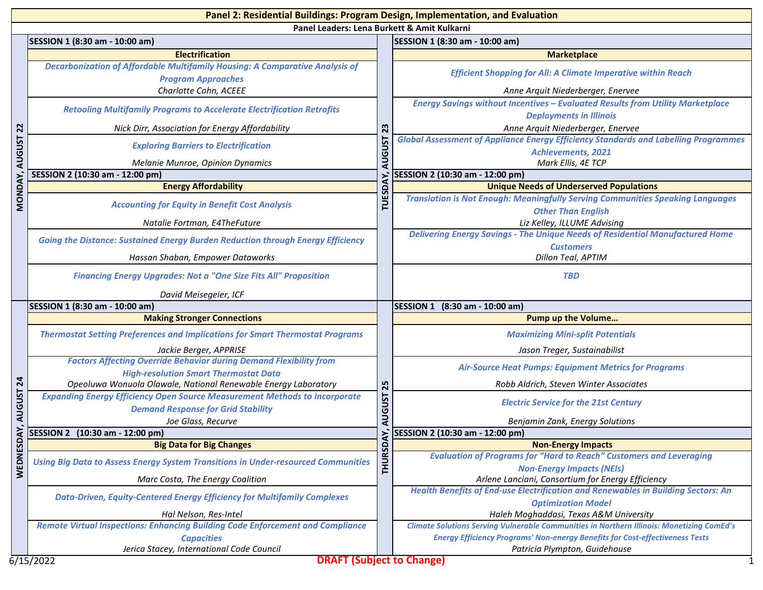|                                             | Panel 2: Residential Buildings: Program Design, Implementation, and Evaluation                                                                      |                                                                            |                                                                                                                                               |  |
|---------------------------------------------|-----------------------------------------------------------------------------------------------------------------------------------------------------|----------------------------------------------------------------------------|-----------------------------------------------------------------------------------------------------------------------------------------------|--|
| Panel Leaders: Lena Burkett & Amit Kulkarni |                                                                                                                                                     |                                                                            |                                                                                                                                               |  |
|                                             | SESSION 1 (8:30 am - 10:00 am)                                                                                                                      |                                                                            | SESSION 1 (8:30 am - 10:00 am)                                                                                                                |  |
|                                             | <b>Electrification</b>                                                                                                                              |                                                                            | <b>Marketplace</b>                                                                                                                            |  |
|                                             | Decarbonization of Affordable Multifamily Housing: A Comparative Analysis of                                                                        |                                                                            | <b>Efficient Shopping for All: A Climate Imperative within Reach</b>                                                                          |  |
|                                             | <b>Program Approaches</b>                                                                                                                           |                                                                            |                                                                                                                                               |  |
| 22                                          | Charlotte Cohn, ACEEE                                                                                                                               |                                                                            | Anne Arquit Niederberger, Enervee                                                                                                             |  |
|                                             | <b>Retooling Multifamily Programs to Accelerate Electrification Retrofits</b>                                                                       |                                                                            | Energy Savings without Incentives - Evaluated Results from Utility Marketplace                                                                |  |
|                                             |                                                                                                                                                     |                                                                            | <b>Deployments in Illinois</b>                                                                                                                |  |
|                                             | Nick Dirr, Association for Energy Affordability                                                                                                     | 23                                                                         | Anne Arquit Niederberger, Enervee<br><b>Global Assessment of Appliance Energy Efficiency Standards and Labelling Programmes</b>               |  |
|                                             | <b>Exploring Barriers to Electrification</b>                                                                                                        |                                                                            | <b>Achievements, 2021</b>                                                                                                                     |  |
| <b>AUGUST</b>                               | Melanie Munroe, Opinion Dynamics                                                                                                                    | <b>AUGUST</b><br>DAY.                                                      | Mark Ellis, 4E TCP                                                                                                                            |  |
|                                             | SESSION 2 (10:30 am - 12:00 pm)                                                                                                                     |                                                                            | SESSION 2 (10:30 am - 12:00 pm)                                                                                                               |  |
| <b>MONDAY</b>                               | <b>Energy Affordability</b>                                                                                                                         |                                                                            | <b>Unique Needs of Underserved Populations</b>                                                                                                |  |
|                                             | <b>Accounting for Equity in Benefit Cost Analysis</b>                                                                                               | <b>TUES</b>                                                                | <b>Translation is Not Enough: Meaningfully Serving Communities Speaking Languages</b>                                                         |  |
|                                             |                                                                                                                                                     |                                                                            | <b>Other Than English</b>                                                                                                                     |  |
|                                             | Natalie Fortman, E4TheFuture                                                                                                                        |                                                                            | Liz Kelley, ILLUME Advising                                                                                                                   |  |
|                                             | <b>Going the Distance: Sustained Energy Burden Reduction through Energy Efficiency</b>                                                              |                                                                            | <b>Delivering Energy Savings - The Unique Needs of Residential Manufactured Home</b>                                                          |  |
|                                             |                                                                                                                                                     |                                                                            | <b>Customers</b>                                                                                                                              |  |
|                                             | Hassan Shaban, Empower Dataworks                                                                                                                    |                                                                            | Dillon Teal, APTIM                                                                                                                            |  |
|                                             | <b>Financing Energy Upgrades: Not a "One Size Fits All" Proposition</b>                                                                             |                                                                            | <b>TBD</b>                                                                                                                                    |  |
|                                             | David Meisegeier, ICF                                                                                                                               |                                                                            |                                                                                                                                               |  |
|                                             | SESSION 1 (8:30 am - 10:00 am)                                                                                                                      |                                                                            | SESSION 1 (8:30 am - 10:00 am)                                                                                                                |  |
|                                             | <b>Making Stronger Connections</b>                                                                                                                  | 25<br><b>AUGUST</b>                                                        | <b>Pump up the Volume</b>                                                                                                                     |  |
|                                             | <b>Thermostat Setting Preferences and Implications for Smart Thermostat Programs</b>                                                                |                                                                            | <b>Maximizing Mini-split Potentials</b>                                                                                                       |  |
|                                             | Jackie Berger, APPRISE                                                                                                                              |                                                                            | Jason Treger, Sustainabilist                                                                                                                  |  |
|                                             | <b>Factors Affecting Override Behavior during Demand Flexibility from</b>                                                                           |                                                                            | <b>Air-Source Heat Pumps: Equipment Metrics for Programs</b>                                                                                  |  |
| $\mathbf{z}$<br><b>AUGUST</b>               | <b>High-resolution Smart Thermostat Data</b>                                                                                                        |                                                                            |                                                                                                                                               |  |
|                                             | Opeoluwa Wonuola Olawale, National Renewable Energy Laboratory<br><b>Expanding Energy Efficiency Open Source Measurement Methods to Incorporate</b> |                                                                            | Robb Aldrich, Steven Winter Associates                                                                                                        |  |
|                                             | <b>Demand Response for Grid Stability</b>                                                                                                           |                                                                            | <b>Electric Service for the 21st Century</b>                                                                                                  |  |
|                                             | Joe Glass, Recurve                                                                                                                                  |                                                                            | Benjamin Zank, Energy Solutions                                                                                                               |  |
| χŃ                                          | SESSION 2 (10:30 am - 12:00 pm)                                                                                                                     |                                                                            | SESSION 2 (10:30 am - 12:00 pm)                                                                                                               |  |
|                                             | <b>Big Data for Big Changes</b>                                                                                                                     |                                                                            | <b>Non-Energy Impacts</b>                                                                                                                     |  |
| <b>WEDNES</b>                               | <b>THURSD</b><br><b>Using Big Data to Assess Energy System Transitions in Under-resourced Communities</b>                                           | <b>Evaluation of Programs for "Hard to Reach" Customers and Leveraging</b> |                                                                                                                                               |  |
|                                             |                                                                                                                                                     |                                                                            | <b>Non-Energy Impacts (NEIs)</b>                                                                                                              |  |
|                                             | Marc Costa, The Energy Coalition                                                                                                                    |                                                                            | Arlene Lanciani, Consortium for Energy Efficiency<br><b>Health Benefits of End-use Electrification and Renewables in Building Sectors: An</b> |  |
|                                             | <b>Data-Driven, Equity-Centered Energy Efficiency for Multifamily Complexes</b>                                                                     |                                                                            | <b>Optimization Model</b>                                                                                                                     |  |
|                                             | Hal Nelson, Res-Intel                                                                                                                               |                                                                            | Haleh Moghaddasi, Texas A&M University                                                                                                        |  |
|                                             | <b>Remote Virtual Inspections: Enhancing Building Code Enforcement and Compliance</b>                                                               |                                                                            | <b>Climate Solutions Serving Vulnerable Communities in Northern Illinois: Monetizing ComEd's</b>                                              |  |
|                                             | <b>Capacities</b>                                                                                                                                   |                                                                            | <b>Energy Efficiency Programs' Non-energy Benefits for Cost-effectiveness Tests</b>                                                           |  |
|                                             |                                                                                                                                                     |                                                                            |                                                                                                                                               |  |
|                                             | Jerica Stacey, International Code Council                                                                                                           |                                                                            | Patricia Plympton, Guidehouse                                                                                                                 |  |